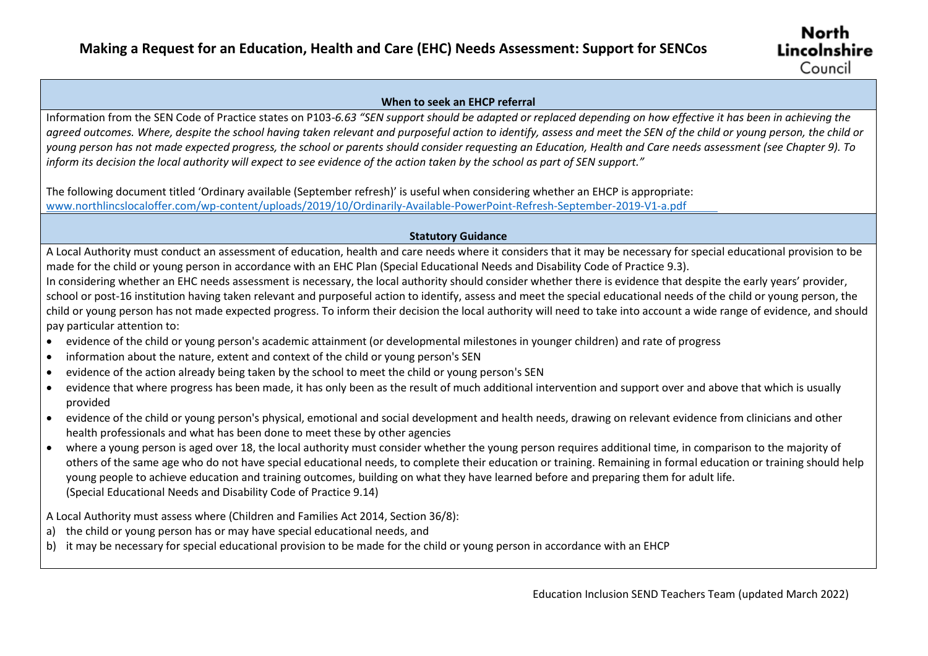## **When to seek an EHCP referral**

 Information from the SEN Code of Practice states on P103-*6.63 "SEN support should be adapted or replaced depending on how effective it has been in achieving the young person has not made expected progress, the school or parents should consider requesting an Education, Health and Care needs assessment (see Chapter 9). To agreed outcomes. Where, despite the school having taken relevant and purposeful action to identify, assess and meet the SEN of the child or young person, the child or inform its decision the local authority will expect to see evidence of the action taken by the school as part of SEN support."*

 The following document titled 'Ordinary available (September refresh)' is useful when considering whether an EHCP is appropriate: [www.northlincslocaloffer.com/wp-content/uploads/2019/10/Ordinarily-Available-PowerPoint-Refresh-September-2019-V1-a.pdf](http://www.northlincslocaloffer.com/wp-content/uploads/2019/10/Ordinarily-Available-PowerPoint-Refresh-September-2019-V1-a.pdf) 

## **Statutory Guidance**

A Local Authority must conduct an assessment of education, health and care needs where it considers that it may be necessary for special educational provision to be made for the child or young person in accordance with an EHC Plan (Special Educational Needs and Disability Code of Practice 9.3).

In considering whether an EHC needs assessment is necessary, the local authority should consider whether there is evidence that despite the early years' provider, school or post-16 institution having taken relevant and purposeful action to identify, assess and meet the special educational needs of the child or young person, the child or young person has not made expected progress. To inform their decision the local authority will need to take into account a wide range of evidence, and should pay particular attention to:

- evidence of the child or young person's academic attainment (or developmental milestones in younger children) and rate of progress
- information about the nature, extent and context of the child or young person's SEN
- evidence of the action already being taken by the school to meet the child or young person's SEN
- evidence that where progress has been made, it has only been as the result of much additional intervention and support over and above that which is usually provided
- evidence of the child or young person's physical, emotional and social development and health needs, drawing on relevant evidence from clinicians and other health professionals and what has been done to meet these by other agencies
- where a young person is aged over 18, the local authority must consider whether the young person requires additional time, in comparison to the majority of others of the same age who do not have special educational needs, to complete their education or training. Remaining in formal education or training should help young people to achieve education and training outcomes, building on what they have learned before and preparing them for adult life. (Special Educational Needs and Disability Code of Practice 9.14)
- A Local Authority must assess where (Children and Families Act 2014, Section 36/8):
- a) the child or young person has or may have special educational needs, and
- b) it may be necessary for special educational provision to be made for the child or young person in accordance with an EHCP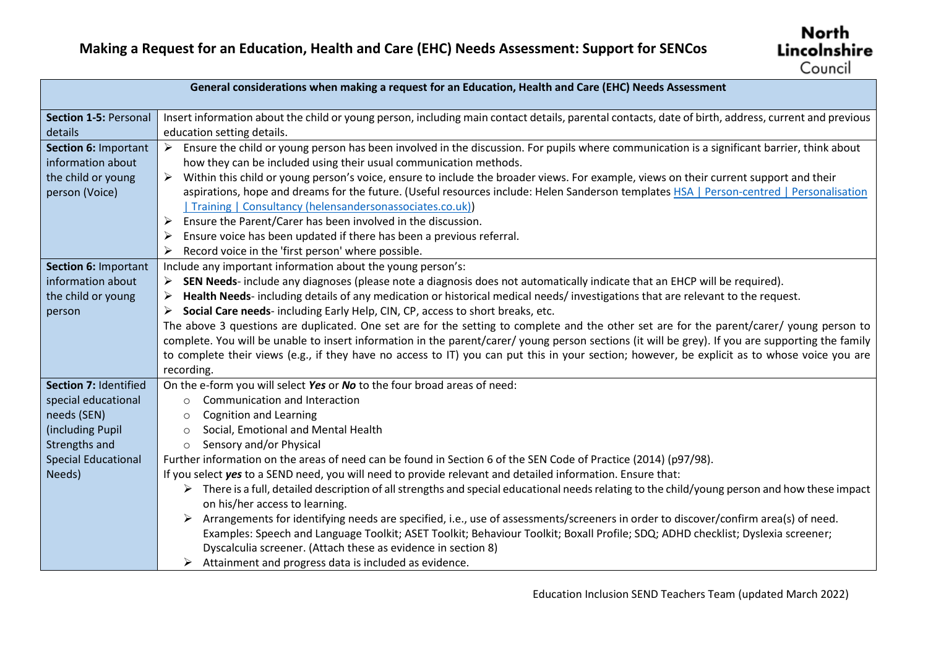| General considerations when making a request for an Education, Health and Care (EHC) Needs Assessment |                                                                                                                                                                                  |  |
|-------------------------------------------------------------------------------------------------------|----------------------------------------------------------------------------------------------------------------------------------------------------------------------------------|--|
|                                                                                                       |                                                                                                                                                                                  |  |
| Section 1-5: Personal                                                                                 | Insert information about the child or young person, including main contact details, parental contacts, date of birth, address, current and previous                              |  |
| details                                                                                               | education setting details.                                                                                                                                                       |  |
| Section 6: Important                                                                                  | Ensure the child or young person has been involved in the discussion. For pupils where communication is a significant barrier, think about                                       |  |
| information about                                                                                     | how they can be included using their usual communication methods.                                                                                                                |  |
| the child or young                                                                                    | Within this child or young person's voice, ensure to include the broader views. For example, views on their current support and their                                            |  |
| person (Voice)                                                                                        | aspirations, hope and dreams for the future. (Useful resources include: Helen Sanderson templates HSA   Person-centred   Personalisation                                         |  |
|                                                                                                       | Training   Consultancy (helensandersonassociates.co.uk))                                                                                                                         |  |
|                                                                                                       | Ensure the Parent/Carer has been involved in the discussion.                                                                                                                     |  |
|                                                                                                       | Ensure voice has been updated if there has been a previous referral.                                                                                                             |  |
|                                                                                                       | Record voice in the 'first person' where possible.<br>≻                                                                                                                          |  |
| Section 6: Important                                                                                  | Include any important information about the young person's:                                                                                                                      |  |
| information about                                                                                     | SEN Needs- include any diagnoses (please note a diagnosis does not automatically indicate that an EHCP will be required).                                                        |  |
| the child or young                                                                                    | Health Needs- including details of any medication or historical medical needs/ investigations that are relevant to the request.                                                  |  |
| person                                                                                                | Social Care needs-including Early Help, CIN, CP, access to short breaks, etc.                                                                                                    |  |
|                                                                                                       | The above 3 questions are duplicated. One set are for the setting to complete and the other set are for the parent/carer/ young person to                                        |  |
|                                                                                                       | complete. You will be unable to insert information in the parent/carer/ young person sections (it will be grey). If you are supporting the family                                |  |
|                                                                                                       | to complete their views (e.g., if they have no access to IT) you can put this in your section; however, be explicit as to whose voice you are                                    |  |
|                                                                                                       | recording.                                                                                                                                                                       |  |
| Section 7: Identified                                                                                 | On the e-form you will select Yes or No to the four broad areas of need:                                                                                                         |  |
| special educational                                                                                   | Communication and Interaction<br>$\circ$                                                                                                                                         |  |
| needs (SEN)                                                                                           | <b>Cognition and Learning</b><br>$\circ$                                                                                                                                         |  |
| (including Pupil                                                                                      | Social, Emotional and Mental Health<br>$\circ$                                                                                                                                   |  |
| Strengths and                                                                                         | Sensory and/or Physical<br>$\circ$                                                                                                                                               |  |
| <b>Special Educational</b>                                                                            | Further information on the areas of need can be found in Section 6 of the SEN Code of Practice (2014) (p97/98).                                                                  |  |
| Needs)                                                                                                | If you select yes to a SEND need, you will need to provide relevant and detailed information. Ensure that:                                                                       |  |
|                                                                                                       | > There is a full, detailed description of all strengths and special educational needs relating to the child/young person and how these impact<br>on his/her access to learning. |  |
|                                                                                                       | Arrangements for identifying needs are specified, i.e., use of assessments/screeners in order to discover/confirm area(s) of need.                                               |  |
|                                                                                                       | Examples: Speech and Language Toolkit; ASET Toolkit; Behaviour Toolkit; Boxall Profile; SDQ; ADHD checklist; Dyslexia screener;                                                  |  |
|                                                                                                       | Dyscalculia screener. (Attach these as evidence in section 8)                                                                                                                    |  |
|                                                                                                       | $\triangleright$ Attainment and progress data is included as evidence.                                                                                                           |  |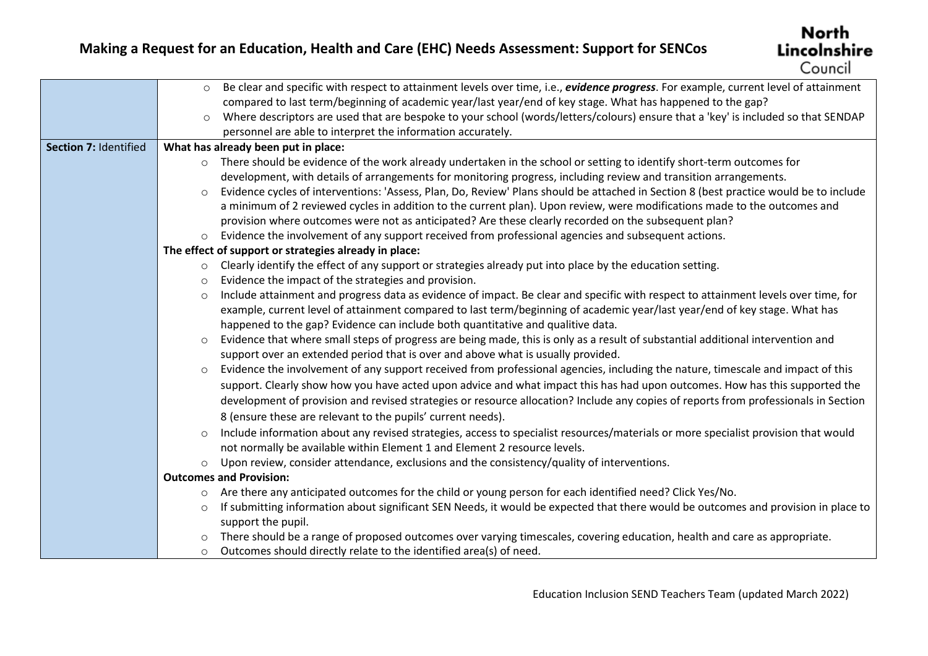|                       | Be clear and specific with respect to attainment levels over time, i.e., evidence progress. For example, current level of attainment<br>$\circ$  |
|-----------------------|--------------------------------------------------------------------------------------------------------------------------------------------------|
|                       | compared to last term/beginning of academic year/last year/end of key stage. What has happened to the gap?                                       |
|                       | Where descriptors are used that are bespoke to your school (words/letters/colours) ensure that a 'key' is included so that SENDAP<br>$\circ$     |
|                       | personnel are able to interpret the information accurately.                                                                                      |
| Section 7: Identified | What has already been put in place:                                                                                                              |
|                       | o There should be evidence of the work already undertaken in the school or setting to identify short-term outcomes for                           |
|                       | development, with details of arrangements for monitoring progress, including review and transition arrangements.                                 |
|                       | Evidence cycles of interventions: 'Assess, Plan, Do, Review' Plans should be attached in Section 8 (best practice would be to include<br>$\circ$ |
|                       | a minimum of 2 reviewed cycles in addition to the current plan). Upon review, were modifications made to the outcomes and                        |
|                       | provision where outcomes were not as anticipated? Are these clearly recorded on the subsequent plan?                                             |
|                       | Evidence the involvement of any support received from professional agencies and subsequent actions.<br>$\circ$                                   |
|                       | The effect of support or strategies already in place:                                                                                            |
|                       | $\circ$ Clearly identify the effect of any support or strategies already put into place by the education setting.                                |
|                       | Evidence the impact of the strategies and provision.                                                                                             |
|                       | Include attainment and progress data as evidence of impact. Be clear and specific with respect to attainment levels over time, for<br>$\circ$    |
|                       | example, current level of attainment compared to last term/beginning of academic year/last year/end of key stage. What has                       |
|                       | happened to the gap? Evidence can include both quantitative and qualitive data.                                                                  |
|                       | Evidence that where small steps of progress are being made, this is only as a result of substantial additional intervention and<br>$\circ$       |
|                       | support over an extended period that is over and above what is usually provided.                                                                 |
|                       | Evidence the involvement of any support received from professional agencies, including the nature, timescale and impact of this<br>$\circ$       |
|                       | support. Clearly show how you have acted upon advice and what impact this has had upon outcomes. How has this supported the                      |
|                       | development of provision and revised strategies or resource allocation? Include any copies of reports from professionals in Section              |
|                       | 8 (ensure these are relevant to the pupils' current needs).                                                                                      |
|                       | Include information about any revised strategies, access to specialist resources/materials or more specialist provision that would<br>$\circ$    |
|                       | not normally be available within Element 1 and Element 2 resource levels.                                                                        |
|                       | Upon review, consider attendance, exclusions and the consistency/quality of interventions.<br>$\circ$                                            |
|                       | <b>Outcomes and Provision:</b>                                                                                                                   |
|                       | Are there any anticipated outcomes for the child or young person for each identified need? Click Yes/No.<br>$\circ$                              |
|                       | If submitting information about significant SEN Needs, it would be expected that there would be outcomes and provision in place to<br>$\circ$    |
|                       | support the pupil.                                                                                                                               |
|                       | There should be a range of proposed outcomes over varying timescales, covering education, health and care as appropriate.                        |
|                       | Outcomes should directly relate to the identified area(s) of need.<br>$\circ$                                                                    |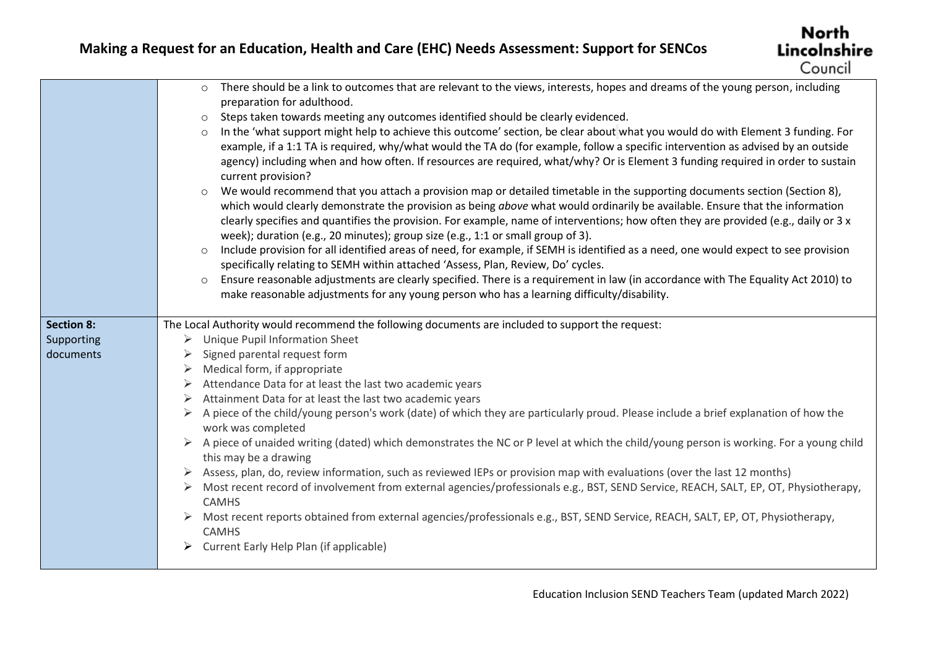|                   | There should be a link to outcomes that are relevant to the views, interests, hopes and dreams of the young person, including<br>$\circ$<br>preparation for adulthood.<br>Steps taken towards meeting any outcomes identified should be clearly evidenced.<br>$\circ$<br>In the 'what support might help to achieve this outcome' section, be clear about what you would do with Element 3 funding. For<br>$\circ$<br>example, if a 1:1 TA is required, why/what would the TA do (for example, follow a specific intervention as advised by an outside<br>agency) including when and how often. If resources are required, what/why? Or is Element 3 funding required in order to sustain<br>current provision?<br>We would recommend that you attach a provision map or detailed timetable in the supporting documents section (Section 8),<br>$\circ$<br>which would clearly demonstrate the provision as being above what would ordinarily be available. Ensure that the information<br>clearly specifies and quantifies the provision. For example, name of interventions; how often they are provided (e.g., daily or 3 x |
|-------------------|--------------------------------------------------------------------------------------------------------------------------------------------------------------------------------------------------------------------------------------------------------------------------------------------------------------------------------------------------------------------------------------------------------------------------------------------------------------------------------------------------------------------------------------------------------------------------------------------------------------------------------------------------------------------------------------------------------------------------------------------------------------------------------------------------------------------------------------------------------------------------------------------------------------------------------------------------------------------------------------------------------------------------------------------------------------------------------------------------------------------------------|
|                   | week); duration (e.g., 20 minutes); group size (e.g., 1:1 or small group of 3).<br>Include provision for all identified areas of need, for example, if SEMH is identified as a need, one would expect to see provision<br>specifically relating to SEMH within attached 'Assess, Plan, Review, Do' cycles.<br>Ensure reasonable adjustments are clearly specified. There is a requirement in law (in accordance with The Equality Act 2010) to<br>$\circ$<br>make reasonable adjustments for any young person who has a learning difficulty/disability.                                                                                                                                                                                                                                                                                                                                                                                                                                                                                                                                                                        |
| <b>Section 8:</b> | The Local Authority would recommend the following documents are included to support the request:                                                                                                                                                                                                                                                                                                                                                                                                                                                                                                                                                                                                                                                                                                                                                                                                                                                                                                                                                                                                                               |
| Supporting        | <b>Unique Pupil Information Sheet</b><br>➤                                                                                                                                                                                                                                                                                                                                                                                                                                                                                                                                                                                                                                                                                                                                                                                                                                                                                                                                                                                                                                                                                     |
| documents         | Signed parental request form<br>➤                                                                                                                                                                                                                                                                                                                                                                                                                                                                                                                                                                                                                                                                                                                                                                                                                                                                                                                                                                                                                                                                                              |
|                   | Medical form, if appropriate<br>➤                                                                                                                                                                                                                                                                                                                                                                                                                                                                                                                                                                                                                                                                                                                                                                                                                                                                                                                                                                                                                                                                                              |
|                   | Attendance Data for at least the last two academic years<br>➤                                                                                                                                                                                                                                                                                                                                                                                                                                                                                                                                                                                                                                                                                                                                                                                                                                                                                                                                                                                                                                                                  |
|                   | Attainment Data for at least the last two academic years                                                                                                                                                                                                                                                                                                                                                                                                                                                                                                                                                                                                                                                                                                                                                                                                                                                                                                                                                                                                                                                                       |
|                   | A piece of the child/young person's work (date) of which they are particularly proud. Please include a brief explanation of how the<br>work was completed                                                                                                                                                                                                                                                                                                                                                                                                                                                                                                                                                                                                                                                                                                                                                                                                                                                                                                                                                                      |
|                   | A piece of unaided writing (dated) which demonstrates the NC or P level at which the child/young person is working. For a young child<br>this may be a drawing                                                                                                                                                                                                                                                                                                                                                                                                                                                                                                                                                                                                                                                                                                                                                                                                                                                                                                                                                                 |
|                   | Assess, plan, do, review information, such as reviewed IEPs or provision map with evaluations (over the last 12 months)                                                                                                                                                                                                                                                                                                                                                                                                                                                                                                                                                                                                                                                                                                                                                                                                                                                                                                                                                                                                        |
|                   | Most recent record of involvement from external agencies/professionals e.g., BST, SEND Service, REACH, SALT, EP, OT, Physiotherapy,<br>➤<br><b>CAMHS</b>                                                                                                                                                                                                                                                                                                                                                                                                                                                                                                                                                                                                                                                                                                                                                                                                                                                                                                                                                                       |
|                   | Most recent reports obtained from external agencies/professionals e.g., BST, SEND Service, REACH, SALT, EP, OT, Physiotherapy,<br><b>CAMHS</b>                                                                                                                                                                                                                                                                                                                                                                                                                                                                                                                                                                                                                                                                                                                                                                                                                                                                                                                                                                                 |
|                   | Current Early Help Plan (if applicable)                                                                                                                                                                                                                                                                                                                                                                                                                                                                                                                                                                                                                                                                                                                                                                                                                                                                                                                                                                                                                                                                                        |